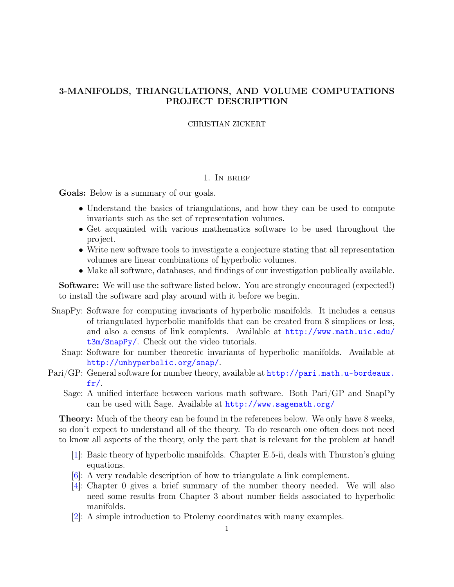# <span id="page-0-0"></span>3-MANIFOLDS, TRIANGULATIONS, AND VOLUME COMPUTATIONS PROJECT DESCRIPTION

## CHRISTIAN ZICKERT

## 1. In brief

Goals: Below is a summary of our goals.

- Understand the basics of triangulations, and how they can be used to compute invariants such as the set of representation volumes.
- Get acquainted with various mathematics software to be used throughout the project.
- Write new software tools to investigate a conjecture stating that all representation volumes are linear combinations of hyperbolic volumes.
- Make all software, databases, and findings of our investigation publically available.

**Software:** We will use the software listed below. You are strongly encouraged (expected!) to install the software and play around with it before we begin.

- SnapPy: Software for computing invariants of hyperbolic manifolds. It includes a census of triangulated hyperbolic manifolds that can be created from 8 simplices or less, and also a census of link complents. Available at [http://www.math.uic.edu/](http://www.math.uic.edu/t3m/SnapPy/) [t3m/SnapPy/](http://www.math.uic.edu/t3m/SnapPy/). Check out the video tutorials.
	- Snap: Software for number theoretic invariants of hyperbolic manifolds. Available at <http://unhyperbolic.org/snap/>.
- Pari/GP: General software for number theory, available at [http://pari.math.u-bordeaux.](http://pari.math.u-bordeaux.fr/) [fr/](http://pari.math.u-bordeaux.fr/).
	- Sage: A unified interface between various math software. Both Pari/GP and SnapPy can be used with Sage. Available at <http://www.sagemath.org/>

Theory: Much of the theory can be found in the references below. We only have 8 weeks, so don't expect to understand all of the theory. To do research one often does not need to know all aspects of the theory, only the part that is relevant for the problem at hand!

- [\[1\]](#page-15-0): Basic theory of hyperbolic manifolds. Chapter E.5-ii, deals with Thurston's gluing equations.
- [\[6\]](#page-15-1): A very readable description of how to triangulate a link complement.
- [\[4\]](#page-15-2): Chapter 0 gives a brief summary of the number theory needed. We will also need some results from Chapter 3 about number fields associated to hyperbolic manifolds.
- [\[2\]](#page-15-3): A simple introduction to Ptolemy coordinates with many examples.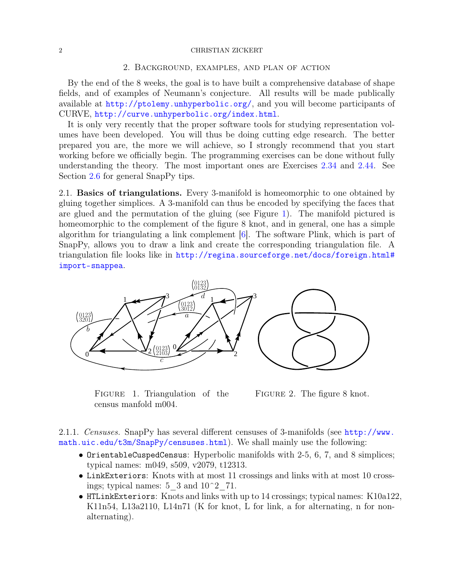## 2 CHRISTIAN ZICKERT

## 2. Background, examples, and plan of action

By the end of the 8 weeks, the goal is to have built a comprehensive database of shape fields, and of examples of Neumann's conjecture. All results will be made publically available at <http://ptolemy.unhyperbolic.org/>, and you will become participants of CURVE, <http://curve.unhyperbolic.org/index.html>.

It is only very recently that the proper software tools for studying representation volumes have been developed. You will thus be doing cutting edge research. The better prepared you are, the more we will achieve, so I strongly recommend that you start working before we officially begin. The programming exercises can be done without fully understanding the theory. The most important ones are Exercises [2.34](#page-10-0) and [2.44.](#page-14-0) See Section [2.6](#page-14-1) for general SnapPy tips.

2.1. Basics of triangulations. Every 3-manifold is homeomorphic to one obtained by gluing together simplices. A 3-manifold can thus be encoded by specifying the faces that are glued and the permutation of the gluing (see Figure [1\)](#page-1-0). The manifold pictured is homeomorphic to the complement of the figure 8 knot, and in general, one has a simple algorithm for triangulating a link complement [\[6\]](#page-15-1). The software Plink, which is part of SnapPy, allows you to draw a link and create the corresponding triangulation file. A triangulation file looks like in [http://regina.sourceforge.net/docs/foreign.html#](http://regina.sourceforge.net/docs/foreign.html#import-snappea) [import-snappea](http://regina.sourceforge.net/docs/foreign.html#import-snappea).

<span id="page-1-0"></span>

FIGURE 1. Triangulation of the census manfold m004.



2.1.1. Censuses. SnapPy has several different censuses of 3-manifolds (see [http://www.](http://www.math.uic.edu/t3m/SnapPy/censuses.html) [math.uic.edu/t3m/SnapPy/censuses.html](http://www.math.uic.edu/t3m/SnapPy/censuses.html)). We shall mainly use the following:

- OrientableCuspedCensus: Hyperbolic manifolds with 2-5, 6, 7, and 8 simplices; typical names: m049, s509, v2079, t12313.
- LinkExteriors: Knots with at most 11 crossings and links with at most 10 crossings; typical names:  $5\,$  3 and  $10^{\circ}2\,$  71.
- HTLinkExteriors: Knots and links with up to 14 crossings; typical names: K10a122, K11n54, L13a2110, L14n71 (K for knot, L for link, a for alternating, n for nonalternating).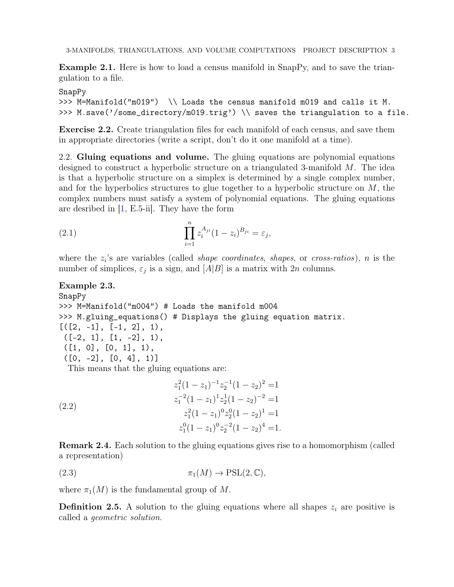3-MANIFOLDS, TRIANGULATIONS, AND VOLUME COMPUTATIONS PROJECT DESCRIPTION 3

Example 2.1. Here is how to load a census manifold in SnapPy, and to save the triangulation to a file.

# SnapPy

```
>>> M=Manifold("m019") \\ Loads the census manifold m019 and calls it M.
>>> M.save('/some_directory/m019.trig') \\ saves the triangulation to a file.
```
Exercise 2.2. Create triangulation files for each manifold of each census, and save them in appropriate directories (write a script, don't do it one manifold at a time).

2.2. Gluing equations and volume. The gluing equations are polynomial equations designed to construct a hyperbolic structure on a triangulated 3-manifold M. The idea is that a hyperbolic structure on a simplex is determined by a single complex number, and for the hyperbolics structures to glue together to a hyperbolic structure on  $M$ , the complex numbers must satisfy a system of polynomial equations. The gluing equations are desribed in  $[1, E.5$  $[1, E.5$ -ii. They have the form

(2.1) 
$$
\prod_{i=1}^{n} z_i^{A_{ji}} (1 - z_i)^{B_{ji}} = \varepsilon_j,
$$

where the  $z_i$ 's are variables (called *shape coordinates, shapes, or cross-ratios), n* is the number of simplices,  $\varepsilon_j$  is a sign, and  $[A|B]$  is a matrix with 2n columns.

```
Example 2.3.
SnapPy
>>> M=Manifold("m004") # Loads the manifold m004
>>> M.gluing_equations() # Displays the gluing equation matrix.
[(2, -1], [-1, 2], 1),([-2, 1], [1, -2], 1),([1, 0], [0, 1], 1),([0, -2], [0, 4], 1)]This means that the gluing equations are:
```
<span id="page-2-1"></span>(2.2)  
\n
$$
z_1^2(1-z_1)^{-1}z_2^{-1}(1-z_2)^2 = 1
$$
\n
$$
z_1^{-2}(1-z_1)^{1}z_2^{1}(1-z_2)^{-2} = 1
$$
\n
$$
z_1^{2}(1-z_1)^{0}z_2^{0}(1-z_2)^{1} = 1
$$
\n
$$
z_1^{0}(1-z_1)^{0}z_2^{-2}(1-z_2)^{4} = 1.
$$

<span id="page-2-0"></span>Remark 2.4. Each solution to the gluing equations gives rise to a homomorphism (called a representation)

(2.3) 
$$
\pi_1(M) \to \text{PSL}(2,\mathbb{C}),
$$

where  $\pi_1(M)$  is the fundamental group of M.

**Definition 2.5.** A solution to the gluing equations where all shapes  $z_i$  are positive is called a geometric solution.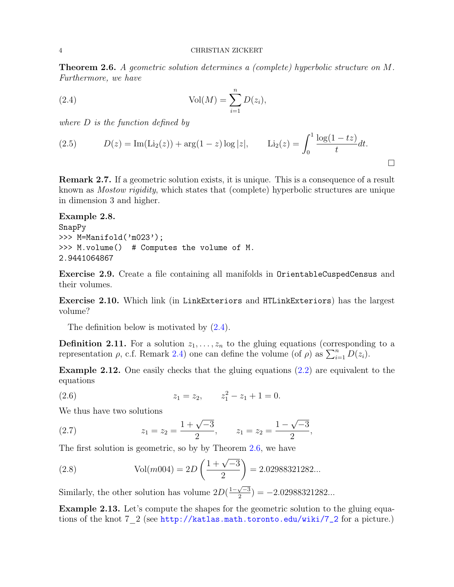<span id="page-3-1"></span>Theorem 2.6. A geometric solution determines a (complete) hyperbolic structure on M. Furthermore, we have

<span id="page-3-0"></span>(2.4) 
$$
Vol(M) = \sum_{i=1}^{n} D(z_i),
$$

where D is the function defined by

(2.5) 
$$
D(z) = \text{Im}(\text{Li}_2(z)) + \arg(1-z)\log|z|, \qquad \text{Li}_2(z) = \int_0^1 \frac{\log(1-tz)}{t} dt.
$$

Remark 2.7. If a geometric solution exists, it is unique. This is a consequence of a result known as Mostow rigidity, which states that (complete) hyperbolic structures are unique in dimension 3 and higher.

```
Example 2.8.
SnapPy
>>> M=Manifold('m023');
>>> M.volume() # Computes the volume of M.
2.9441064867
```
Exercise 2.9. Create a file containing all manifolds in OrientableCuspedCensus and their volumes.

Exercise 2.10. Which link (in LinkExteriors and HTLinkExteriors) has the largest volume?

The definition below is motivated by  $(2.4)$ .

**Definition 2.11.** For a solution  $z_1, \ldots, z_n$  to the gluing equations (corresponding to a representation  $\rho$ , c.f. Remark [2.4\)](#page-2-0) one can define the volume (of  $\rho$ ) as  $\sum_{i=1}^{n} D(z_i)$ .

<span id="page-3-2"></span>**Example 2.12.** One easily checks that the gluing equations  $(2.2)$  are equivalent to the equations

(2.6) 
$$
z_1 = z_2, \qquad z_1^2 - z_1 + 1 = 0.
$$

We thus have two solutions

(2.7) 
$$
z_1 = z_2 = \frac{1 + \sqrt{-3}}{2}, \qquad z_1 = z_2 = \frac{1 - \sqrt{-3}}{2},
$$

The first solution is geometric, so by by Theorem [2.6,](#page-3-1) we have

(2.8) Vol(*m*004) = 
$$
2D\left(\frac{1+\sqrt{-3}}{2}\right)
$$
 = 2.02988321282...

Similarly, the other solution has volume  $2D(\frac{1-\sqrt{-3}}{2})$  $\frac{\sqrt{-3}}{2}$ ) = -2.02988321282...

Example 2.13. Let's compute the shapes for the geometric solution to the gluing equations of the knot 7\_2 (see [http://katlas.math.toronto.edu/wiki/7\\_2](http://katlas.math.toronto.edu/wiki/7_2) for a picture.)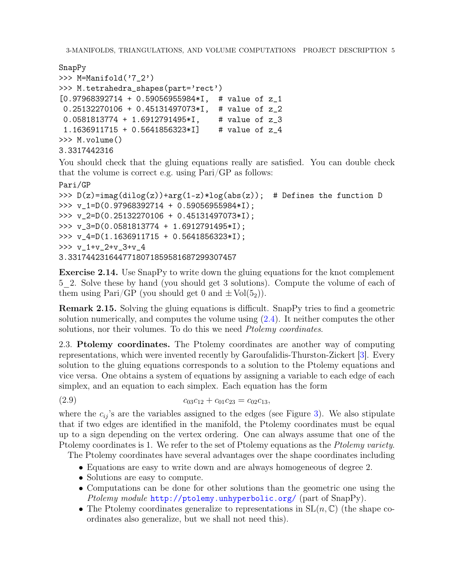```
SnapPy
>>> M=Manifold('7_2')
>>> M.tetrahedra_shapes(part='rect')
[0.97968392714 + 0.59056955984*I, # value of z_1
0.25132270106 + 0.45131497073*I, # value of z_2
0.0581813774 + 1.6912791495*I, # value of z_3
 1.1636911715 + 0.5641856323*I] # value of z_4
>>> M.volume()
3.3317442316
```
You should check that the gluing equations really are satisfied. You can double check that the volume is correct e.g. using Pari/GP as follows:

```
Pari/GP
>>> D(z)=imag(dilog(z))+arg(1-z)*log(abs(z)); # Defines the function D
>>> v_1=D(0.97968392714 + 0.59056955984*I);
>>> v_2=D(0.25132270106 + 0.45131497073*I);
>>> v_3=D(0.0581813774 + 1.6912791495*I);
>>> v_4=D(1.1636911715 + 0.5641856323*I);
>>> v_1+v_2+v_3+v_4
3.3317442316447718071859581687299307457
```
Exercise 2.14. Use SnapPy to write down the gluing equations for the knot complement 5\_2. Solve these by hand (you should get 3 solutions). Compute the volume of each of them using Pari/GP (you should get 0 and  $\pm$  Vol $(5_2)$ ).

**Remark 2.15.** Solving the gluing equations is difficult. SnapPy tries to find a geometric solution numerically, and computes the volume using  $(2.4)$ . It neither computes the other solutions, nor their volumes. To do this we need *Ptolemy coordinates*.

2.3. Ptolemy coordinates. The Ptolemy coordinates are another way of computing representations, which were invented recently by Garoufalidis-Thurston-Zickert [\[3\]](#page-15-4). Every solution to the gluing equations corresponds to a solution to the Ptolemy equations and vice versa. One obtains a system of equations by assigning a variable to each edge of each simplex, and an equation to each simplex. Each equation has the form

$$
(2.9) \t\t\t c_{03}c_{12} + c_{01}c_{23} = c_{02}c_{13},
$$

where the  $c_{ij}$ 's are the variables assigned to the edges (see Figure [3\)](#page-5-0). We also stipulate that if two edges are identified in the manifold, the Ptolemy coordinates must be equal up to a sign depending on the vertex ordering. One can always assume that one of the Ptolemy coordinates is 1. We refer to the set of Ptolemy equations as the Ptolemy variety.

The Ptolemy coordinates have several advantages over the shape coordinates including

- Equations are easy to write down and are always homogeneous of degree 2.
- Solutions are easy to compute.
- Computations can be done for other solutions than the geometric one using the Ptolemy module <http://ptolemy.unhyperbolic.org/> (part of SnapPy).
- The Ptolemy coordinates generalize to representations in  $SL(n, \mathbb{C})$  (the shape coordinates also generalize, but we shall not need this).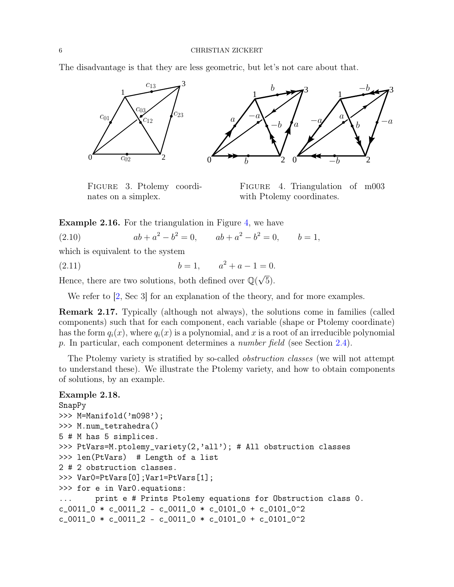<span id="page-5-0"></span>The disadvantage is that they are less geometric, but let's not care about that.



Figure 3. Ptolemy coordinates on a simplex.

FIGURE 4. Triangulation of m003 with Ptolemy coordinates.

**Example 2.16.** For the triangulation in Figure [4,](#page-5-0) we have

(2.10)  $ab + a^2 - b^2 = 0$ ,  $ab + a^2 - b^2 = 0$ ,  $b = 1$ ,

which is equivalent to the system

(2.11)  $b = 1, \quad a^2 + a - 1 = 0.$ 

Hence, there are two solutions, both defined over  $\mathbb{Q}(\sqrt{\mathbb{Z}})$ 5).

We refer to [\[2,](#page-15-3) Sec 3] for an explanation of the theory, and for more examples.

Remark 2.17. Typically (although not always), the solutions come in families (called components) such that for each component, each variable (shape or Ptolemy coordinate) has the form  $q_i(x)$ , where  $q_i(x)$  is a polynomial, and x is a root of an irreducible polynomial p. In particular, each component determines a number field (see Section [2.4\)](#page-8-0).

The Ptolemy variety is stratified by so-called *obstruction classes* (we will not attempt to understand these). We illustrate the Ptolemy variety, and how to obtain components of solutions, by an example.

## Example 2.18.

```
SnapPy
>>> M=Manifold('m098');
>>> M.num_tetrahedra()
5 # M has 5 simplices.
>>> PtVars=M.ptolemy_variety(2,'all'); # All obstruction classes
>>> len(PtVars) # Length of a list
2 # 2 obstruction classes.
>>> Var0=PtVars[0];Var1=PtVars[1];
>>> for e in Var0.equations:
... print e # Prints Ptolemy equations for Obstruction class 0.
c_0011_0 * c_0011_2 - c_0011_0 * c_0101_0 + c_0101_0^2
c_0011_0 * c_0011_2 - c_0011_0 * c_0101_0 + c_0101_0^2
```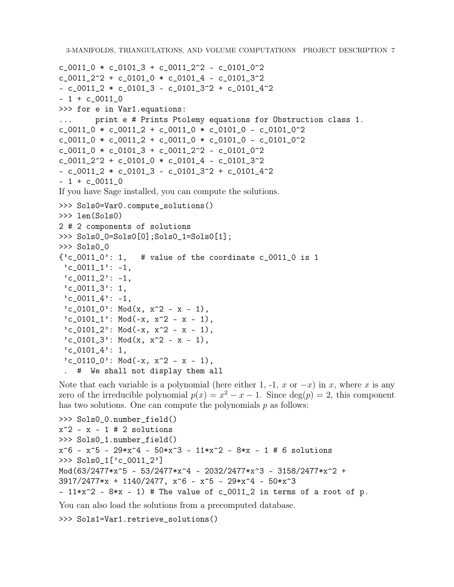```
3-MANIFOLDS, TRIANGULATIONS, AND VOLUME COMPUTATIONS PROJECT DESCRIPTION 7
c_0011_0 * c_0101_3 + c_0011_2^2 - c_0101_0^2c_0011_2^2 + c_0101_0 * c_0101_4 - c_0101_3^2-c_0011_2 * c_0101_3 - c_0101_3<sup>2</sup> + c_0101_4<sup>2</sup>
- 1 + c_0011_0>>> for e in Var1.equations:
... print e # Prints Ptolemy equations for Obstruction class 1.
c_0011_0 * c_0011_2 + c_0011_0 * c_0101_0 - c_0101_0^2
c_0011_0 * c_0011_2 + c_0011_0 * c_0101_0 - c_0101_0^2c_0011_0 * c_0101_3 + c_0011_2^2 - c_0101_0^2c_0011_2^2 + c_0101_0 * c_0101_4 - c_0101_3^2-c_0011_2 * c_0101_3 - c_0101_3^2 + c_0101_4^2- 1 + c_0011_0If you have Sage installed, you can compute the solutions.
>>> Sols0=Var0.compute_solutions()
>>> len(Sols0)
2 # 2 components of solutions
>>> Sols0_0=Sols0[0];Sols0_1=Sols0[1];
>>> Sols0_0
{c_{0011}}_0: 1, # value of the coordinate c_{0011} o is 1
 'c_0011_1': -1,\text{'c_0011\_2': -1},'c_0011_3': 1,'c_0011_4': -1,
 'c_0101_0': Mod(x, x^2 - x - 1),'c_0101_1': Mod(-x, x^2 - x - 1),'c_0101_2 : Mod(-x, x^2 - x - 1),
 'c_0101_3': Mod(x, x<sup>2</sup> - x - 1),
 'c_0101_4': 1,
 'c_0110_0': Mod(-x, x^2 - x - 1),
```
. # We shall not display them all

Note that each variable is a polynomial (here either 1, -1, x or  $-x$ ) in x, where x is any zero of the irreducible polynomial  $p(x) = x^2 - x - 1$ . Since  $deg(p) = 2$ , this component has two solutions. One can compute the polynomials  $p$  as follows:

```
>>> Sols0_0.number_field()
x^2 - x - 1 # 2 solutions
>>> Sols0_1.number_field()
x^6 - x^5 - 29*x^4 - 50*x^3 - 11*x^2 - 8*x - 1 # 6 solutions>>> Sols0_1['c_0011_2']
Mod(63/2477*x^5 - 53/2477*x^4 - 2032/2477*x^3 - 3158/2477*x^2 +
3917/2477*x + 1140/2477, x^6 - x^5 - 29*x^4 - 50*x^3- 11*x^2 - 8*x - 1) # The value of c_0011_2 in terms of a root of p.
```
You can also load the solutions from a precomputed database.

```
>>> Sols1=Var1.retrieve_solutions()
```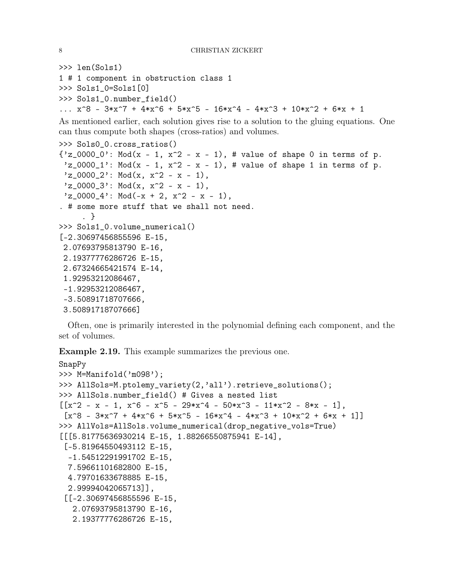```
>>> len(Sols1)
1 # 1 component in obstruction class 1
>>> Sols1_0=Sols1[0]
>>> Sols1_0.number_field()
... x^8 - 3*x<sup>-</sup>7 + 4*x<sup>-</sup>6 + 5*x<sup>-</sup>5 - 16*x<sup>-</sup>4 - 4*x<sup>-</sup>3 + 10*x<sup>-</sup>2 + 6*x + 1
As mentioned earlier, each solution gives rise to a solution to the gluing equations. One
can thus compute both shapes (cross-ratios) and volumes.
>>> Sols0_0.cross_ratios()
{'z_0000_0}': Mod(x - 1, x<sup>2</sup> - x - 1), # value of shape 0 in terms of p.
 'z_0000_1': Mod(x - 1, x<sup>2</sup> - x - 1), # value of shape 1 in terms of p.
 'z_00000_2': Mod(x, x<sup>2</sup> - x - 1),
 'z_00000_3': Mod(x, x<sup>2</sup> - x - 1),
 'z_0000_4': Mod(-x + 2, x<sup>2</sup> - x - 1),
. # some more stuff that we shall not need.
      . }
>>> Sols1_0.volume_numerical()
[-2.30697456855596 E-15,
 2.07693795813790 E-16,
 2.19377776286726 E-15,
 2.67324665421574 E-14,
 1.92953212086467,
 -1.92953212086467,
 -3.50891718707666,
 3.50891718707666]
```
Often, one is primarily interested in the polynomial defining each component, and the set of volumes.

<span id="page-7-0"></span>Example 2.19. This example summarizes the previous one.

```
SnapPy
>>> M=Manifold('m098');
>>> AllSols=M.ptolemy_variety(2,'all').retrieve_solutions();
>>> AllSols.number_field() # Gives a nested list
[[x^2 - x - 1, x^6 - x^5 - 29*x^4 - 50*x^3 - 11*x^2 - 8*x - 1],
 [x^8 - 3*x^7 + 4*x^6 + 5*x^5 - 16*x^4 - 4*x^3 + 10*x^2 + 6*x + 1]]>>> AllVols=AllSols.volume_numerical(drop_negative_vols=True)
[[[5.81775636930214 E-15, 1.88266550875941 E-14],
 [-5.81964550493112 E-15,
 -1.54512291991702 E-15,
 7.59661101682800 E-15,
 4.79701633678885 E-15,
 2.99994042065713]],
 [[-2.30697456855596 E-15,
   2.07693795813790 E-16,
   2.19377776286726 E-15,
```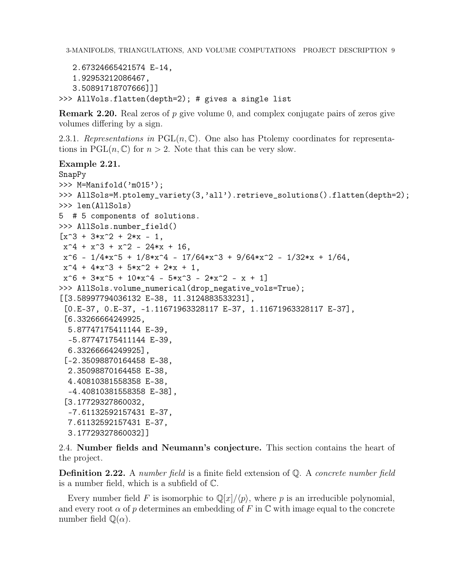```
2.67324665421574 E-14,
   1.92953212086467,
   3.50891718707666]]]
>>> AllVols.flatten(depth=2); # gives a single list
```
**Remark 2.20.** Real zeros of p give volume 0, and complex conjugate pairs of zeros give volumes differing by a sign.

2.3.1. Representations in PGL $(n, \mathbb{C})$ . One also has Ptolemy coordinates for representations in  $PGL(n, \mathbb{C})$  for  $n > 2$ . Note that this can be very slow.

# Example 2.21.

```
SnapPy
>>> M=Manifold('m015');
>>> AllSols=M.ptolemy_variety(3,'all').retrieve_solutions().flatten(depth=2);
>>> len(AllSols)
5 # 5 components of solutions.
>>> AllSols.number_field()
[x^3 + 3*x^2 + 2*x - 1,x^4 + x^3 + x^2 - 24*x + 16,
x^6 - 1/4*x<sup>-</sup>5 + 1/8*x<sup>-</sup>4 - 17/64*x<sup>-</sup>3 + 9/64*x<sup>-</sup>2 - 1/32*x + 1/64,
x^4 + 4*x^3 + 5*x^2 + 2*x + 1x^6 + 3*x^5 + 10*x^4 - 5*x^3 - 2*x^2 - x + 1>>> AllSols.volume_numerical(drop_negative_vols=True);
[[3.58997794036132 E-38, 11.3124883533231],
 [0.E-37, 0.E-37, -1.11671963328117 E-37, 1.11671963328117 E-37],
 [6.33266664249925,
  5.87747175411144 E-39,
  -5.87747175411144 E-39,
  6.33266664249925],
 [-2.35098870164458 E-38,
 2.35098870164458 E-38,
 4.40810381558358 E-38,
  -4.40810381558358 E-38],
 [3.17729327860032,
  -7.61132592157431 E-37,
 7.61132592157431 E-37,
  3.17729327860032]]
```
# <span id="page-8-0"></span>2.4. Number fields and Neumann's conjecture. This section contains the heart of the project.

**Definition 2.22.** A number field is a finite field extension of  $\mathbb{Q}$ . A concrete number field is a number field, which is a subfield of C.

Every number field F is isomorphic to  $\mathbb{Q}[x]/\langle p \rangle$ , where p is an irreducible polynomial, and every root  $\alpha$  of p determines an embedding of F in  $\mathbb C$  with image equal to the concrete number field  $\mathbb{Q}(\alpha)$ .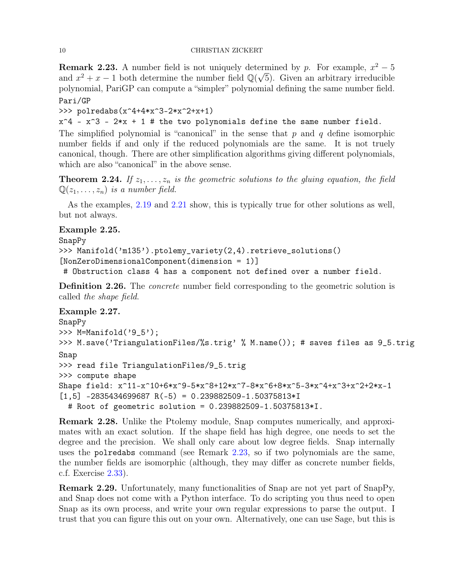<span id="page-9-0"></span>**Remark 2.23.** A number field is not uniquely determined by p. For example,  $x^2 - 5$ and  $x^2 + x - 1$  both determine the number field  $\mathbb{Q}(\sqrt{5})$ . Given an arbitrary irreducible polynomial, PariGP can compute a "simpler" polynomial defining the same number field. Pari/GP

>>> polredabs(x^4+4\*x^3-2\*x^2+x+1)

 $x^4 - x^3 - 2*x + 1$  # the two polynomials define the same number field.

The simplified polynomial is "canonical" in the sense that  $p$  and  $q$  define isomorphic number fields if and only if the reduced polynomials are the same. It is not truely canonical, though. There are other simplification algorithms giving different polynomials, which are also "canonical" in the above sense.

**Theorem 2.24.** If  $z_1, \ldots, z_n$  is the geometric solutions to the gluing equation, the field  $\mathbb{Q}(z_1, \ldots, z_n)$  is a number field.

As the examples, [2.19](#page-7-0) and [2.21](#page-0-0) show, this is typically true for other solutions as well, but not always.

# Example 2.25.

SnapPy

```
>>> Manifold('m135').ptolemy_variety(2,4).retrieve_solutions()
[NonZeroDimensionalComponent(dimension = 1)]
```
# Obstruction class 4 has a component not defined over a number field.

Definition 2.26. The *concrete* number field corresponding to the geometric solution is called the shape field.

Example 2.27. SnapPy >>> M=Manifold('9\_5'); >>> M.save('TriangulationFiles/%s.trig' % M.name()); # saves files as 9\_5.trig Snap >>> read file TriangulationFiles/9\_5.trig >>> compute shape Shape field: x^11-x^10+6\*x^9-5\*x^8+12\*x^7-8\*x^6+8\*x^5-3\*x^4+x^3+x^2+2\*x-1  $[1,5]$  -2835434699687 R(-5) = 0.239882509-1.50375813\*I # Root of geometric solution = 0.239882509-1.50375813\*I.

Remark 2.28. Unlike the Ptolemy module, Snap computes numerically, and approximates with an exact solution. If the shape field has high degree, one needs to set the degree and the precision. We shall only care about low degree fields. Snap internally uses the polredabs command (see Remark [2.23,](#page-9-0) so if two polynomials are the same, the number fields are isomorphic (although, they may differ as concrete number fields, c.f. Exercise [2.33\)](#page-10-1).

Remark 2.29. Unfortunately, many functionalities of Snap are not yet part of SnapPy, and Snap does not come with a Python interface. To do scripting you thus need to open Snap as its own process, and write your own regular expressions to parse the output. I trust that you can figure this out on your own. Alternatively, one can use Sage, but this is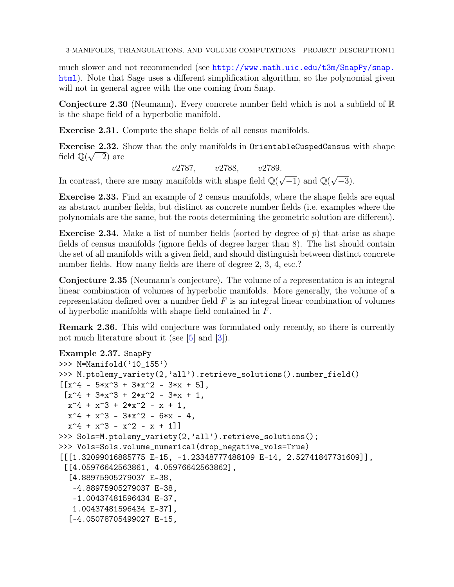3-MANIFOLDS, TRIANGULATIONS, AND VOLUME COMPUTATIONS PROJECT DESCRIPTION11

much slower and not recommended (see [http://www.math.uic.edu/t3m/SnapPy/snap.](http://www.math.uic.edu/t3m/SnapPy/snap.html) [html](http://www.math.uic.edu/t3m/SnapPy/snap.html)). Note that Sage uses a different simplification algorithm, so the polynomial given will not in general agree with the one coming from Snap.

**Conjecture 2.30** (Neumann). Every concrete number field which is not a subfield of  $\mathbb{R}$ is the shape field of a hyperbolic manifold.

Exercise 2.31. Compute the shape fields of all census manifolds.

Exercise 2.32. Show that the only manifolds in OrientableCuspedCensus with shape field  $\mathbb{Q}(\sqrt{-2})$  are

v2787, v2788, v2789.

In contrast, there are many manifolds with shape field  $\mathbb{Q}(\sqrt{-1})$  and  $\mathbb{Q}(\sqrt{-1})$  $\overline{-3}$ ).

<span id="page-10-1"></span>Exercise 2.33. Find an example of 2 census manifolds, where the shape fields are equal as abstract number fields, but distinct as concrete number fields (i.e. examples where the polynomials are the same, but the roots determining the geometric solution are different).

<span id="page-10-0"></span>**Exercise 2.34.** Make a list of number fields (sorted by degree of  $p$ ) that arise as shape fields of census manifolds (ignore fields of degree larger than 8). The list should contain the set of all manifolds with a given field, and should distinguish between distinct concrete number fields. How many fields are there of degree 2, 3, 4, etc.?

Conjecture 2.35 (Neumann's conjecture). The volume of a representation is an integral linear combination of volumes of hyperbolic manifolds. More generally, the volume of a representation defined over a number field  $F$  is an integral linear combination of volumes of hyperbolic manifolds with shape field contained in F.

Remark 2.36. This wild conjecture was formulated only recently, so there is currently not much literature about it (see [\[5\]](#page-15-5) and [\[3\]](#page-15-4)).

```
Example 2.37. SnapPy
>>> M=Manifold('10_155')
>>> M.ptolemy_variety(2,'all').retrieve_solutions().number_field()
[[x^4 - 5*x^3 + 3*x^2 - 3*x + 5],[x^4 + 3*x^3 + 2*x^2 - 3*x + 1,x^4 + x^3 + 2*x^2 - x + 1,
 x^4 + x^3 - 3*x^2 - 6*x - 4x^4 + x^3 - x^2 - x + 1]
>>> Sols=M.ptolemy_variety(2,'all').retrieve_solutions();
>>> Vols=Sols.volume_numerical(drop_negative_vols=True)
[[[1.32099016885775 E-15, -1.23348777488109 E-14, 2.52741847731609]],
 [[4.05976642563861, 4.05976642563862],
  [4.88975905279037 E-38,
   -4.88975905279037 E-38,
   -1.00437481596434 E-37,
   1.00437481596434 E-37],
  [-4.05078705499027 E-15,
```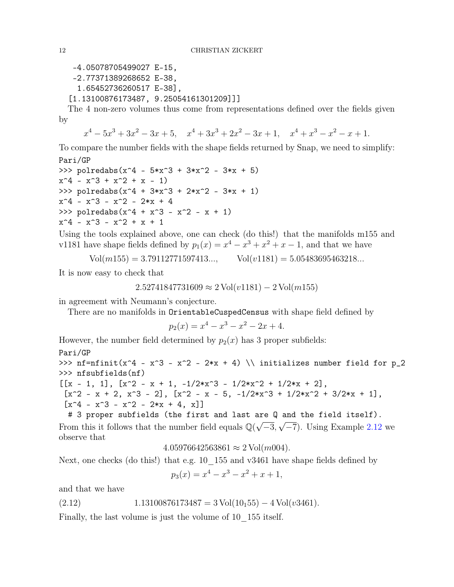```
-4.05078705499027 E-15,
-2.77371389268652 E-38,
  1.65452736260517 E-38],
[1.13100876173487, 9.25054161301209]]]
```
The 4 non-zero volumes thus come from representations defined over the fields given by

 $x^4 - 5x^3 + 3x^2 - 3x + 5$ ,  $x^4 + 3x^3 + 2x^2 - 3x + 1$ ,  $x^4 + x^3 - x^2 - x + 1$ .

To compare the number fields with the shape fields returned by Snap, we need to simplify: Pari/GP

```
>>> polredabs(x^4 - 5*x^3 + 3*x^2 - 3*x + 5)
x^4 - x^3 + x^2 + x - 1>>> polredabs(x^4 + 3*x^3 + 2*x^2 - 3*x + 1)
x^4 - x^3 - x^2 - 2*x + 4>>> polredabs(x^4 + x^3 - x^2 - x + 1)
x^4 - x^3 - x^2 + x + 1
```
Using the tools explained above, one can check (do this!) that the manifolds m155 and v1181 have shape fields defined by  $p_1(x) = x^4 - x^3 + x^2 + x - 1$ , and that we have

$$
Vol(m155) = 3.79112771597413..., \qquad Vol(v1181) = 5.05483695463218...
$$

It is now easy to check that

$$
2.52741847731609 \approx 2 \text{Vol}(v1181) - 2 \text{Vol}(m155)
$$

in agreement with Neumann's conjecture.

There are no manifolds in OrientableCuspedCensus with shape field defined by

$$
p_2(x) = x^4 - x^3 - x^2 - 2x + 4.
$$

However, the number field determined by  $p_2(x)$  has 3 proper subfields:

$$
{\tt Pari}/{\tt GP}
$$

>>> nf=nfinit(x^4 - x^3 - x^2 - 2\*x + 4) \\ initializes number field for p\_2 >>> nfsubfields(nf)

$$
[[x - 1, 1], [x^2 - x + 1, -1/2*x^3 - 1/2*x^2 + 1/2*x + 2],[x^2 - x + 2, x^3 - 2], [x^2 - x - 5, -1/2*x^3 + 1/2*x^2 + 3/2*x + 1],[x^4 - x^3 - x^2 - 2*x + 4, x]]
$$

# 3 proper subfields (the first and last are Q and the field itself). From this it follows that the number field equals  $\mathbb{Q}(\sqrt{-3}, \sqrt{-7})$ . Using Example [2.12](#page-3-2) we observe that

 $4.05976642563861 \approx 2 \text{ Vol}(m004).$ 

Next, one checks (do this!) that e.g. 10  $155$  and v3461 have shape fields defined by

<span id="page-11-0"></span>
$$
p_3(x) = x^4 - x^3 - x^2 + x + 1,
$$

and that we have

$$
(2.12) \t1.13100876173487 = 3 Vol(10155) - 4 Vol(v3461).
$$

Finally, the last volume is just the volume of 10  $\,$  155 itself.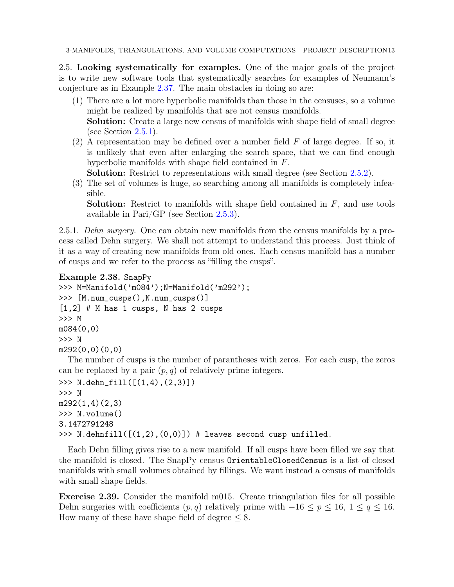3-MANIFOLDS, TRIANGULATIONS, AND VOLUME COMPUTATIONS PROJECT DESCRIPTION13

2.5. Looking systematically for examples. One of the major goals of the project is to write new software tools that systematically searches for examples of Neumann's conjecture as in Example [2.37.](#page-0-0) The main obstacles in doing so are:

- (1) There are a lot more hyperbolic manifolds than those in the censuses, so a volume might be realized by manifolds that are not census manifolds. Solution: Create a large new census of manifolds with shape field of small degree
	- (see Section  $2.5.1$ ).
- (2) A representation may be defined over a number field  $F$  of large degree. If so, it is unlikely that even after enlarging the search space, that we can find enough hyperbolic manifolds with shape field contained in F.

Solution: Restrict to representations with small degree (see Section [2.5.2\)](#page-13-0).

(3) The set of volumes is huge, so searching among all manifolds is completely infeasible.

**Solution:** Restrict to manifolds with shape field contained in  $F$ , and use tools available in Pari/GP (see Section [2.5.3\)](#page-13-1).

<span id="page-12-0"></span>2.5.1. Dehn surgery. One can obtain new manifolds from the census manifolds by a process called Dehn surgery. We shall not attempt to understand this process. Just think of it as a way of creating new manifolds from old ones. Each census manifold has a number of cusps and we refer to the process as "filling the cusps".

```
Example 2.38. SnapPy
```

```
>>> M=Manifold('m084');N=Manifold('m292');
>>> [M.num_cusps(),N.num_cusps()]
[1,2] # M has 1 cusps, N has 2 cusps
>>> M
m084(0,0)
>>> N
m292(0,0)(0,0)
```
The number of cusps is the number of parantheses with zeros. For each cusp, the zeros can be replaced by a pair  $(p, q)$  of relatively prime integers.

```
>>> N.dehn_fill([(1,4),(2,3)])
>>> N
m292(1,4)(2,3)
>>> N.volume()
3.1472791248
\gg N.dehnfill([(1,2), (0,0)]) # leaves second cusp unfilled.
```
Each Dehn filling gives rise to a new manifold. If all cusps have been filled we say that the manifold is closed. The SnapPy census OrientableClosedCensus is a list of closed manifolds with small volumes obtained by fillings. We want instead a census of manifolds with small shape fields.

Exercise 2.39. Consider the manifold m015. Create triangulation files for all possible Dehn surgeries with coefficients  $(p, q)$  relatively prime with  $-16 \le p \le 16$ ,  $1 \le q \le 16$ . How many of these have shape field of degree  $\leq 8$ .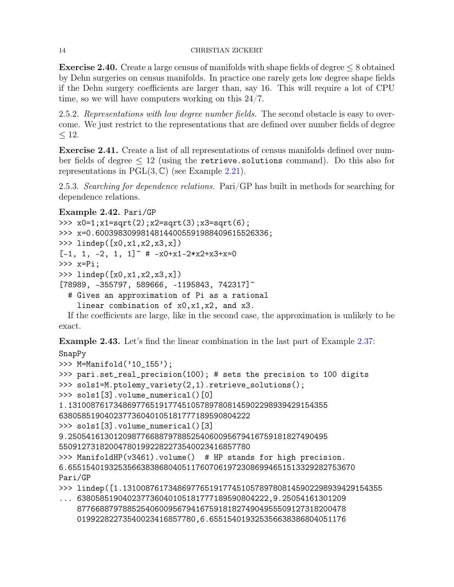## 14 CHRISTIAN ZICKERT

**Exercise 2.40.** Create a large census of manifolds with shape fields of degree  $\leq 8$  obtained by Dehn surgeries on census manifolds. In practice one rarely gets low degree shape fields if the Dehn surgery coefficients are larger than, say 16. This will require a lot of CPU time, so we will have computers working on this 24/7.

<span id="page-13-0"></span>2.5.2. Representations with low degree number fields. The second obstacle is easy to overcome. We just restrict to the representations that are defined over number fields of degree  $< 12.$ 

Exercise 2.41. Create a list of all representations of census manifolds defined over number fields of degree  $\leq 12$  (using the retrieve solutions command). Do this also for representations in  $PGL(3,\mathbb{C})$  (see Example [2.21\)](#page-0-0).

<span id="page-13-1"></span>2.5.3. Searching for dependence relations. Pari/GP has built in methods for searching for dependence relations.

# Example 2.42. Pari/GP

```
>>> x0=1;x1=sqrt(2);x2=sqrt(3);x3=sqrt(6);
>>> x=0.60039830998148144005591988409615526336;
>>> lindep([x0,x1,x2,x3,x])
[-1, 1, -2, 1, 1] * * -x0+x1-2*x2+x3+x=0>>> x=Pi;
>>> lindep([x0,x1,x2,x3,x])
[78989, -355797, 589666, -1195843, 742317]# Gives an approximation of Pi as a rational
    linear combination of x0,x1,x2, and x3.
```
If the coefficients are large, like in the second case, the approximation is unlikely to be exact.

<span id="page-13-2"></span>Example 2.43. Let's find the linear combination in the last part of Example [2.37:](#page-0-0) SnapPy

```
>>> M=Manifold('10_155');
>>> pari.set_real_precision(100); # sets the precision to 100 digits
>>> sols1=M.ptolemy_variety(2,1).retrieve_solutions();
>>> sols1[3].volume_numerical()[0]
1.131008761734869776519177451057897808145902298939429154355
638058519040237736040105181777189590804222
>>> sols1[3].volume_numerical()[3]
9.250541613012098776688797885254060095679416759181827490495
550912731820047801992282273540023416857780
>>> ManifoldHP(v3461).volume() # HP stands for high precision.
6.655154019325356638386804051176070619723086994651513329282753670
Pari/GP
>>> lindep([1.131008761734869776519177451057897808145902298939429154355
... 638058519040237736040105181777189590804222,9.25054161301209
```
87766887978852540600956794167591818274904955509127318200478 01992282273540023416857780,6.655154019325356638386804051176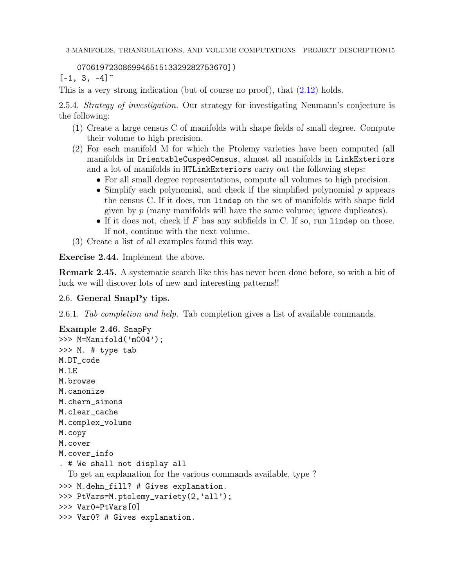# 070619723086994651513329282753670])

 $[-1, 3, -4]$ <sup>~</sup>

This is a very strong indication (but of course no proof), that [\(2.12\)](#page-11-0) holds.

2.5.4. Strategy of investigation. Our strategy for investigating Neumann's conjecture is the following:

- (1) Create a large census C of manifolds with shape fields of small degree. Compute their volume to high precision.
- (2) For each manifold M for which the Ptolemy varieties have been computed (all manifolds in OrientableCuspedCensus, almost all manifolds in LinkExteriors and a lot of manifolds in HTLinkExteriors carry out the following steps:
	- For all small degree representations, compute all volumes to high precision.
	- Simplify each polynomial, and check if the simplified polynomial  $p$  appears the census C. If it does, run lindep on the set of manifolds with shape field given by  $p$  (many manifolds will have the same volume; ignore duplicates).
	- If it does not, check if  $F$  has any subfields in C. If so, run lindep on those. If not, continue with the next volume.
- (3) Create a list of all examples found this way.

<span id="page-14-0"></span>Exercise 2.44. Implement the above.

Remark 2.45. A systematic search like this has never been done before, so with a bit of luck we will discover lots of new and interesting patterns!!

# <span id="page-14-1"></span>2.6. General SnapPy tips.

2.6.1. Tab completion and help. Tab completion gives a list of available commands.

```
Example 2.46. SnapPy
>>> M=Manifold('m004');
>>> M. # type tab
M.DT_code
M.LE
M.browse
M.canonize
M.chern_simons
M.clear_cache
M.complex_volume
M.copy
M.cover
M.cover_info
. # We shall not display all
  To get an explanation for the various commands available, type ?
>>> M.dehn_fill? # Gives explanation.
>>> PtVars=M.ptolemy_variety(2,'all');
>>> Var0=PtVars[0]
>>> Var0? # Gives explanation.
```